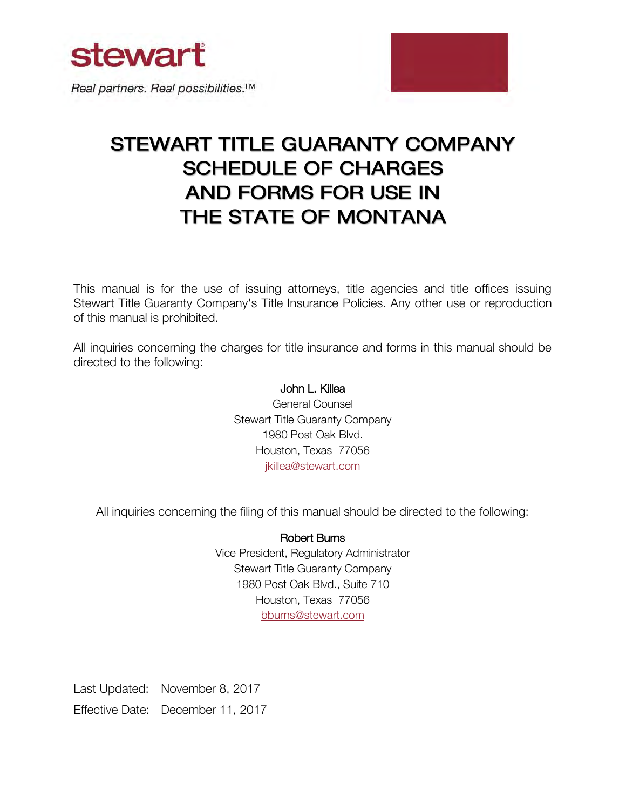

Real partners. Real possibilities.<sup>™</sup>

# STEWART TITLE GUARANTY COMPANY **SCHEDULE OF CHARGES AND FORMS FOR USE IN** THE STATE OF MONTANA

This manual is for the use of issuing attorneys, title agencies and title offices issuing Stewart Title Guaranty Company's Title Insurance Policies. Any other use or reproduction of this manual is prohibited.

All inquiries concerning the charges for title insurance and forms in this manual should be directed to the following:

#### John L. Killea

General Counsel Stewart Title Guaranty Company 1980 Post Oak Blvd. Houston, Texas 77056 [jkillea@stewart.com](mailto:jkillea@stewart.com)

All inquiries concerning the filing of this manual should be directed to the following:

#### Robert Burns

Vice President, Regulatory Administrator Stewart Title Guaranty Company 1980 Post Oak Blvd., Suite 710 Houston, Texas 77056 [bburns@stewart.com](mailto:bburns@stewart.com)

Last Updated: November 8, 2017 Effective Date: December 11, 2017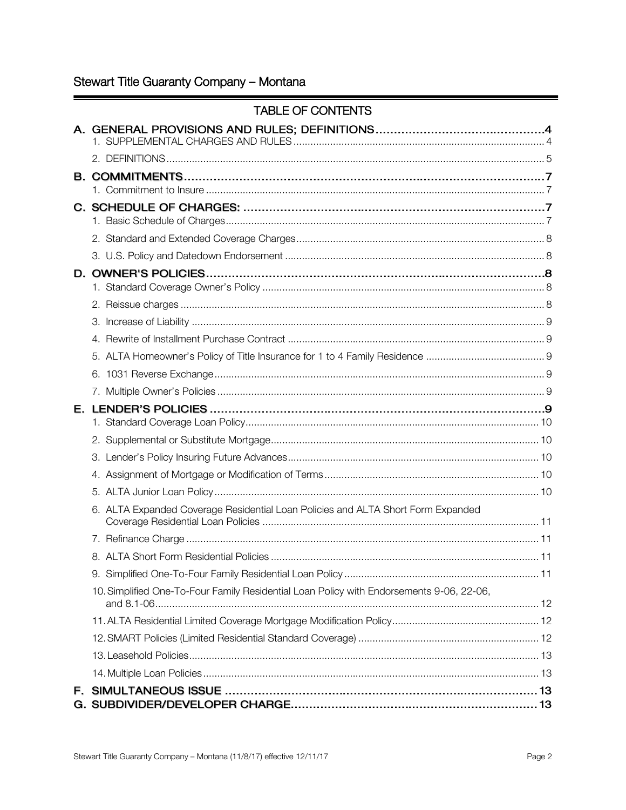# Stewart Title Guaranty Company - Montana

|    | <b>TABLE OF CONTENTS</b>                                                                 |  |
|----|------------------------------------------------------------------------------------------|--|
|    |                                                                                          |  |
|    |                                                                                          |  |
|    |                                                                                          |  |
|    |                                                                                          |  |
|    |                                                                                          |  |
|    |                                                                                          |  |
|    |                                                                                          |  |
|    |                                                                                          |  |
|    |                                                                                          |  |
|    |                                                                                          |  |
|    |                                                                                          |  |
|    |                                                                                          |  |
|    |                                                                                          |  |
|    | 6.                                                                                       |  |
|    |                                                                                          |  |
|    |                                                                                          |  |
|    |                                                                                          |  |
|    |                                                                                          |  |
|    |                                                                                          |  |
|    |                                                                                          |  |
|    |                                                                                          |  |
|    | 6. ALTA Expanded Coverage Residential Loan Policies and ALTA Short Form Expanded         |  |
|    |                                                                                          |  |
|    |                                                                                          |  |
|    |                                                                                          |  |
|    | 10. Simplified One-To-Four Family Residential Loan Policy with Endorsements 9-06, 22-06, |  |
|    |                                                                                          |  |
|    |                                                                                          |  |
|    |                                                                                          |  |
|    |                                                                                          |  |
| F. |                                                                                          |  |
|    |                                                                                          |  |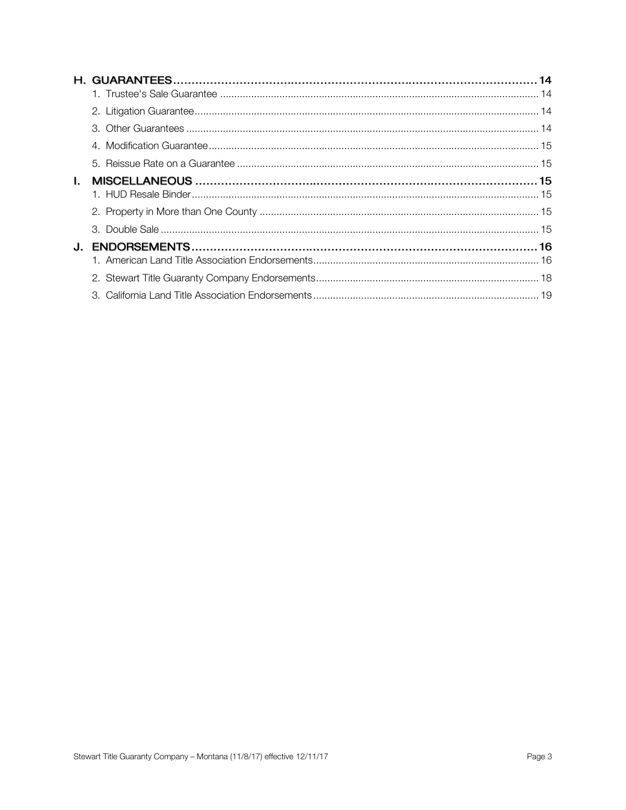|              | 5. |  |
|--------------|----|--|
| $\mathbf{L}$ |    |  |
|              |    |  |
|              |    |  |
|              | 3. |  |
| J.           |    |  |
|              |    |  |
|              |    |  |
|              |    |  |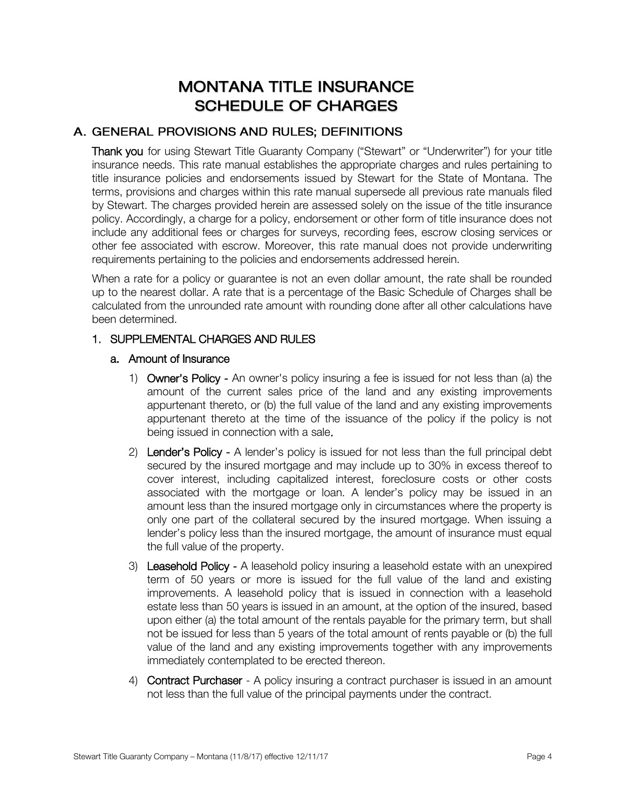# **MONTANA TITLE INSURANCE SCHEDULE OF CHARGES**

#### A. GENERAL PROVISIONS AND RULES; DEFINITIONS

Thank you for using Stewart Title Guaranty Company ("Stewart" or "Underwriter") for your title insurance needs. This rate manual establishes the appropriate charges and rules pertaining to title insurance policies and endorsements issued by Stewart for the State of Montana. The terms, provisions and charges within this rate manual supersede all previous rate manuals filed by Stewart. The charges provided herein are assessed solely on the issue of the title insurance policy. Accordingly, a charge for a policy, endorsement or other form of title insurance does not include any additional fees or charges for surveys, recording fees, escrow closing services or other fee associated with escrow. Moreover, this rate manual does not provide underwriting requirements pertaining to the policies and endorsements addressed herein.

When a rate for a policy or guarantee is not an even dollar amount, the rate shall be rounded up to the nearest dollar. A rate that is a percentage of the Basic Schedule of Charges shall be calculated from the unrounded rate amount with rounding done after all other calculations have been determined.

#### <span id="page-3-0"></span>1. SUPPLEMENTAL CHARGES AND RULES

#### a. Amount of Insurance

- 1) Owner's Policy An owner's policy insuring a fee is issued for not less than (a) the amount of the current sales price of the land and any existing improvements appurtenant thereto, or (b) the full value of the land and any existing improvements appurtenant thereto at the time of the issuance of the policy if the policy is not being issued in connection with a sale.
- 2) Lender's Policy A lender's policy is issued for not less than the full principal debt secured by the insured mortgage and may include up to 30% in excess thereof to cover interest, including capitalized interest, foreclosure costs or other costs associated with the mortgage or loan. A lender's policy may be issued in an amount less than the insured mortgage only in circumstances where the property is only one part of the collateral secured by the insured mortgage. When issuing a lender's policy less than the insured mortgage, the amount of insurance must equal the full value of the property.
- 3) Leasehold Policy A leasehold policy insuring a leasehold estate with an unexpired term of 50 years or more is issued for the full value of the land and existing improvements. A leasehold policy that is issued in connection with a leasehold estate less than 50 years is issued in an amount, at the option of the insured, based upon either (a) the total amount of the rentals payable for the primary term, but shall not be issued for less than 5 years of the total amount of rents payable or (b) the full value of the land and any existing improvements together with any improvements immediately contemplated to be erected thereon.
- 4) Contract Purchaser A policy insuring a contract purchaser is issued in an amount not less than the full value of the principal payments under the contract.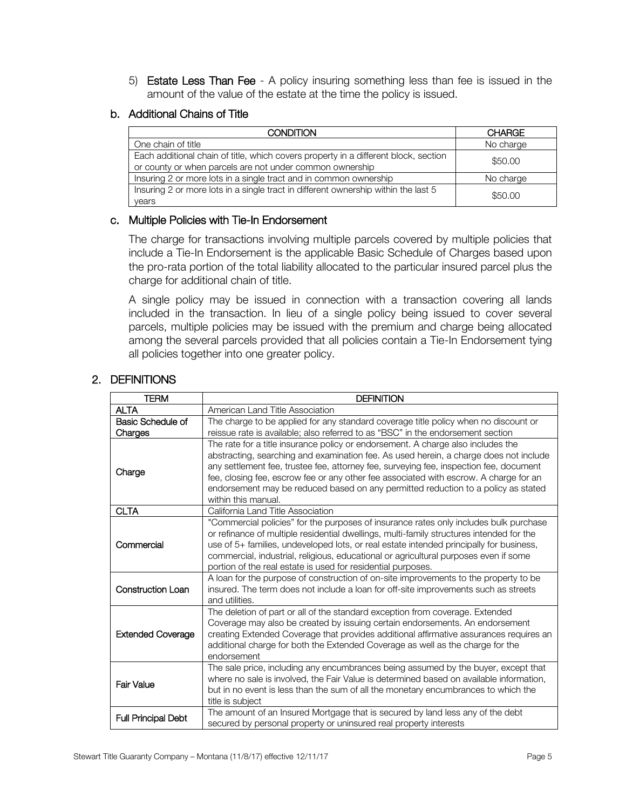5) Estate Less Than Fee - A policy insuring something less than fee is issued in the amount of the value of the estate at the time the policy is issued.

#### b. Additional Chains of Title

| <b>CONDITION</b>                                                                                                                                | <b>CHARGE</b> |
|-------------------------------------------------------------------------------------------------------------------------------------------------|---------------|
| One chain of title                                                                                                                              | No charge     |
| Each additional chain of title, which covers property in a different block, section<br>or county or when parcels are not under common ownership | \$50.00       |
| Insuring 2 or more lots in a single tract and in common ownership                                                                               | No charge     |
| Insuring 2 or more lots in a single tract in different ownership within the last 5<br>years                                                     | \$50,00       |

#### c. Multiple Policies with Tie-In Endorsement

The charge for transactions involving multiple parcels covered by multiple policies that include a Tie-In Endorsement is the applicable Basic Schedule of Charges based upon the pro-rata portion of the total liability allocated to the particular insured parcel plus the charge for additional chain of title.

A single policy may be issued in connection with a transaction covering all lands included in the transaction. In lieu of a single policy being issued to cover several parcels, multiple policies may be issued with the premium and charge being allocated among the several parcels provided that all policies contain a Tie-In Endorsement tying all policies together into one greater policy.

| <b>TERM</b>                  | <b>DEFINITION</b>                                                                                                                                                                                                                                                                                                                                                                                                                                                        |
|------------------------------|--------------------------------------------------------------------------------------------------------------------------------------------------------------------------------------------------------------------------------------------------------------------------------------------------------------------------------------------------------------------------------------------------------------------------------------------------------------------------|
| <b>ALTA</b>                  | American Land Title Association                                                                                                                                                                                                                                                                                                                                                                                                                                          |
| Basic Schedule of<br>Charges | The charge to be applied for any standard coverage title policy when no discount or<br>reissue rate is available; also referred to as "BSC" in the endorsement section                                                                                                                                                                                                                                                                                                   |
| Charge                       | The rate for a title insurance policy or endorsement. A charge also includes the<br>abstracting, searching and examination fee. As used herein, a charge does not include<br>any settlement fee, trustee fee, attorney fee, surveying fee, inspection fee, document<br>fee, closing fee, escrow fee or any other fee associated with escrow. A charge for an<br>endorsement may be reduced based on any permitted reduction to a policy as stated<br>within this manual. |
| <b>CLTA</b>                  | California Land Title Association                                                                                                                                                                                                                                                                                                                                                                                                                                        |
| Commercial                   | "Commercial policies" for the purposes of insurance rates only includes bulk purchase<br>or refinance of multiple residential dwellings, multi-family structures intended for the<br>use of 5+ families, undeveloped lots, or real estate intended principally for business,<br>commercial, industrial, religious, educational or agricultural purposes even if some<br>portion of the real estate is used for residential purposes.                                     |
| <b>Construction Loan</b>     | A loan for the purpose of construction of on-site improvements to the property to be<br>insured. The term does not include a loan for off-site improvements such as streets<br>and utilities.                                                                                                                                                                                                                                                                            |
| <b>Extended Coverage</b>     | The deletion of part or all of the standard exception from coverage. Extended<br>Coverage may also be created by issuing certain endorsements. An endorsement<br>creating Extended Coverage that provides additional affirmative assurances requires an<br>additional charge for both the Extended Coverage as well as the charge for the<br>endorsement                                                                                                                 |
| Fair Value                   | The sale price, including any encumbrances being assumed by the buyer, except that<br>where no sale is involved, the Fair Value is determined based on available information,<br>but in no event is less than the sum of all the monetary encumbrances to which the<br>title is subject                                                                                                                                                                                  |
| <b>Full Principal Debt</b>   | The amount of an Insured Mortgage that is secured by land less any of the debt<br>secured by personal property or uninsured real property interests                                                                                                                                                                                                                                                                                                                      |

#### <span id="page-4-0"></span>2. DEFINITIONS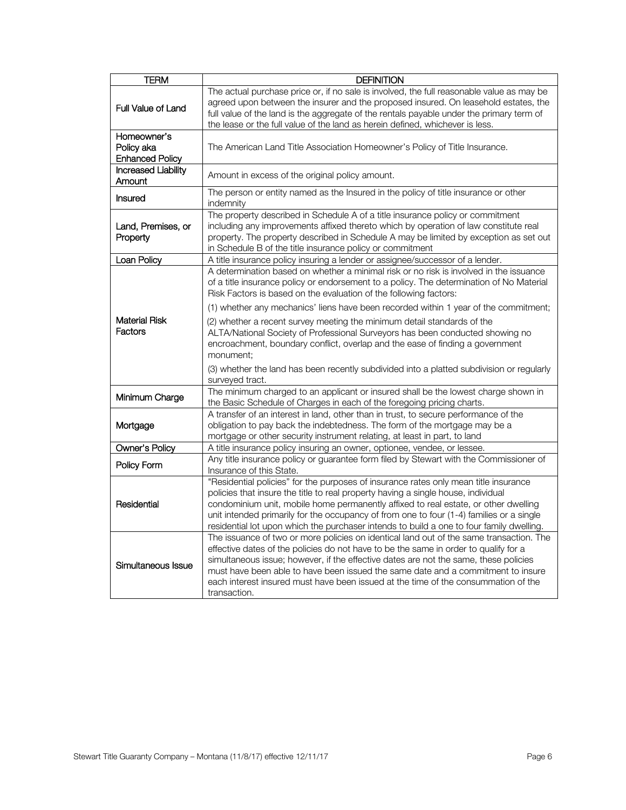| TERM                                                | <b>DEFINITION</b>                                                                                                                                                                                                                                                                                                                                                                                                                                                 |
|-----------------------------------------------------|-------------------------------------------------------------------------------------------------------------------------------------------------------------------------------------------------------------------------------------------------------------------------------------------------------------------------------------------------------------------------------------------------------------------------------------------------------------------|
| <b>Full Value of Land</b>                           | The actual purchase price or, if no sale is involved, the full reasonable value as may be<br>agreed upon between the insurer and the proposed insured. On leasehold estates, the<br>full value of the land is the aggregate of the rentals payable under the primary term of<br>the lease or the full value of the land as herein defined, whichever is less.                                                                                                     |
| Homeowner's<br>Policy aka<br><b>Enhanced Policy</b> | The American Land Title Association Homeowner's Policy of Title Insurance.                                                                                                                                                                                                                                                                                                                                                                                        |
| <b>Increased Liability</b><br>Amount                | Amount in excess of the original policy amount.                                                                                                                                                                                                                                                                                                                                                                                                                   |
| Insured                                             | The person or entity named as the Insured in the policy of title insurance or other<br>indemnity                                                                                                                                                                                                                                                                                                                                                                  |
| Land, Premises, or<br>Property                      | The property described in Schedule A of a title insurance policy or commitment<br>including any improvements affixed thereto which by operation of law constitute real<br>property. The property described in Schedule A may be limited by exception as set out<br>in Schedule B of the title insurance policy or commitment                                                                                                                                      |
| Loan Policy                                         | A title insurance policy insuring a lender or assignee/successor of a lender.                                                                                                                                                                                                                                                                                                                                                                                     |
|                                                     | A determination based on whether a minimal risk or no risk is involved in the issuance<br>of a title insurance policy or endorsement to a policy. The determination of No Material<br>Risk Factors is based on the evaluation of the following factors:                                                                                                                                                                                                           |
| <b>Material Risk</b><br><b>Factors</b>              | (1) whether any mechanics' liens have been recorded within 1 year of the commitment;<br>(2) whether a recent survey meeting the minimum detail standards of the<br>ALTA/National Society of Professional Surveyors has been conducted showing no<br>encroachment, boundary conflict, overlap and the ease of finding a government<br>monument;                                                                                                                    |
|                                                     | (3) whether the land has been recently subdivided into a platted subdivision or regularly<br>surveyed tract.                                                                                                                                                                                                                                                                                                                                                      |
| Minimum Charge                                      | The minimum charged to an applicant or insured shall be the lowest charge shown in<br>the Basic Schedule of Charges in each of the foregoing pricing charts.                                                                                                                                                                                                                                                                                                      |
| Mortgage                                            | A transfer of an interest in land, other than in trust, to secure performance of the<br>obligation to pay back the indebtedness. The form of the mortgage may be a<br>mortgage or other security instrument relating, at least in part, to land                                                                                                                                                                                                                   |
| Owner's Policy                                      | A title insurance policy insuring an owner, optionee, vendee, or lessee.                                                                                                                                                                                                                                                                                                                                                                                          |
| Policy Form                                         | Any title insurance policy or guarantee form filed by Stewart with the Commissioner of<br>Insurance of this State.                                                                                                                                                                                                                                                                                                                                                |
| Residential                                         | "Residential policies" for the purposes of insurance rates only mean title insurance<br>policies that insure the title to real property having a single house, individual<br>condominium unit, mobile home permanently affixed to real estate, or other dwelling<br>unit intended primarily for the occupancy of from one to four (1-4) families or a single<br>residential lot upon which the purchaser intends to build a one to four family dwelling.          |
| Simultaneous Issue                                  | The issuance of two or more policies on identical land out of the same transaction. The<br>effective dates of the policies do not have to be the same in order to qualify for a<br>simultaneous issue; however, if the effective dates are not the same, these policies<br>must have been able to have been issued the same date and a commitment to insure<br>each interest insured must have been issued at the time of the consummation of the<br>transaction. |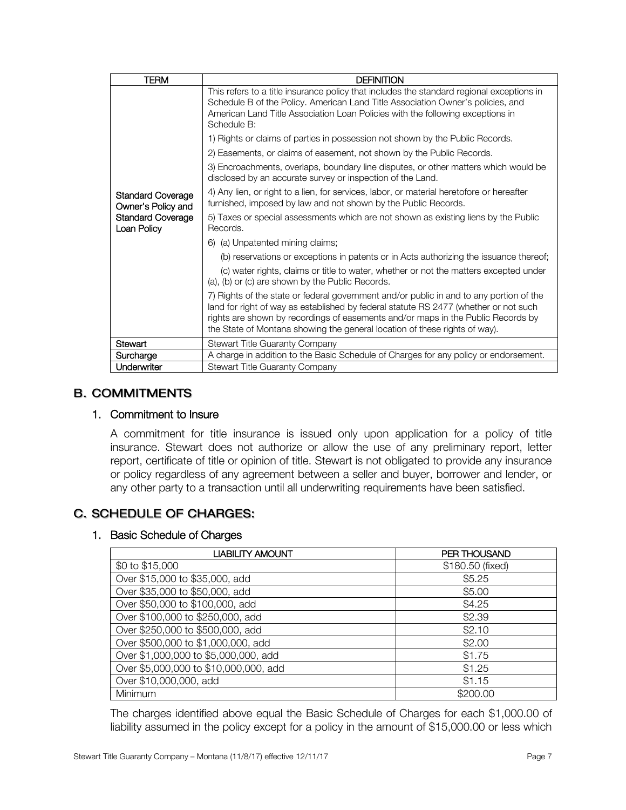| TERM<br><b>DEFINITION</b>                      |                                                                                                                                                                                                                                                                                                                                                   |  |
|------------------------------------------------|---------------------------------------------------------------------------------------------------------------------------------------------------------------------------------------------------------------------------------------------------------------------------------------------------------------------------------------------------|--|
|                                                | This refers to a title insurance policy that includes the standard regional exceptions in<br>Schedule B of the Policy. American Land Title Association Owner's policies, and<br>American Land Title Association Loan Policies with the following exceptions in<br>Schedule B:                                                                     |  |
|                                                | 1) Rights or claims of parties in possession not shown by the Public Records.                                                                                                                                                                                                                                                                     |  |
|                                                | 2) Easements, or claims of easement, not shown by the Public Records.                                                                                                                                                                                                                                                                             |  |
|                                                | 3) Encroachments, overlaps, boundary line disputes, or other matters which would be<br>disclosed by an accurate survey or inspection of the Land.                                                                                                                                                                                                 |  |
| <b>Standard Coverage</b><br>Owner's Policy and | 4) Any lien, or right to a lien, for services, labor, or material heretofore or hereafter<br>furnished, imposed by law and not shown by the Public Records.                                                                                                                                                                                       |  |
| <b>Standard Coverage</b><br>Loan Policy        | 5) Taxes or special assessments which are not shown as existing liens by the Public<br>Records.                                                                                                                                                                                                                                                   |  |
|                                                | 6) (a) Unpatented mining claims;                                                                                                                                                                                                                                                                                                                  |  |
|                                                | (b) reservations or exceptions in patents or in Acts authorizing the issuance thereof;                                                                                                                                                                                                                                                            |  |
|                                                | (c) water rights, claims or title to water, whether or not the matters excepted under<br>(a), (b) or (c) are shown by the Public Records.                                                                                                                                                                                                         |  |
|                                                | 7) Rights of the state or federal government and/or public in and to any portion of the<br>land for right of way as established by federal statute RS 2477 (whether or not such<br>rights are shown by recordings of easements and/or maps in the Public Records by<br>the State of Montana showing the general location of these rights of way). |  |
| Stewart                                        | Stewart Title Guaranty Company                                                                                                                                                                                                                                                                                                                    |  |
| Surcharge                                      | A charge in addition to the Basic Schedule of Charges for any policy or endorsement.                                                                                                                                                                                                                                                              |  |
| Underwriter                                    | <b>Stewart Title Guaranty Company</b>                                                                                                                                                                                                                                                                                                             |  |

#### **B. COMMITMENTS**

#### <span id="page-6-0"></span>1. Commitment to Insure

 A commitment for title insurance is issued only upon application for a policy of title insurance. Stewart does not authorize or allow the use of any preliminary report, letter report, certificate of title or opinion of title. Stewart is not obligated to provide any insurance or policy regardless of any agreement between a seller and buyer, borrower and lender, or any other party to a transaction until all underwriting requirements have been satisfied.

#### C. SCHEDULE OF CHARGES:

#### <span id="page-6-1"></span>1. Basic Schedule of Charges

| <b>LIABILITY AMOUNT</b>               | <b>PER THOUSAND</b> |
|---------------------------------------|---------------------|
| \$0 to \$15,000                       | \$180.50 (fixed)    |
| Over \$15,000 to \$35,000, add        | \$5.25              |
| Over \$35,000 to \$50,000, add        | \$5.00              |
| Over \$50,000 to \$100,000, add       | \$4.25              |
| Over \$100,000 to \$250,000, add      | \$2.39              |
| Over \$250,000 to \$500,000, add      | \$2.10              |
| Over \$500,000 to \$1,000,000, add    | \$2.00              |
| Over \$1,000,000 to \$5,000,000, add  | \$1.75              |
| Over \$5,000,000 to \$10,000,000, add | \$1.25              |
| Over \$10,000,000, add                | \$1.15              |
| Minimum                               | \$200.00            |

The charges identified above equal the Basic Schedule of Charges for each \$1,000.00 of liability assumed in the policy except for a policy in the amount of \$15,000.00 or less which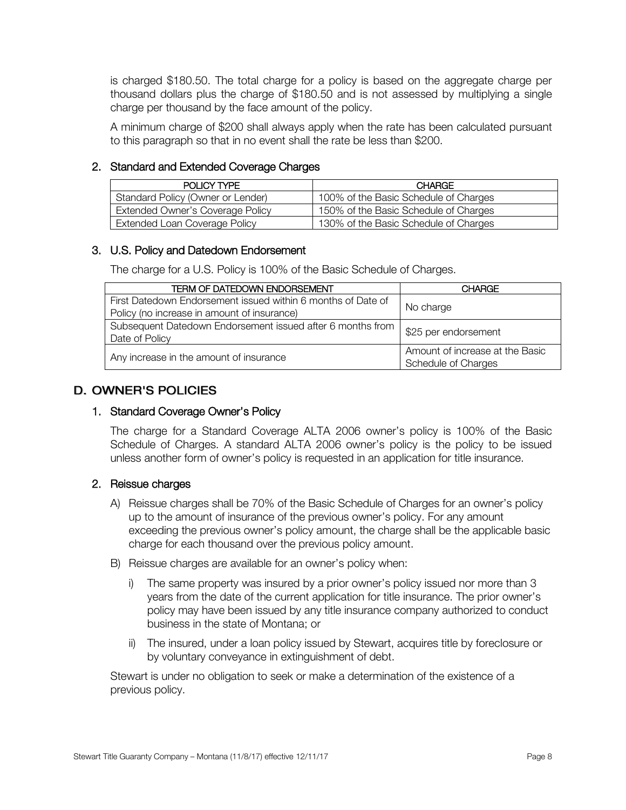is charged \$180.50. The total charge for a policy is based on the aggregate charge per thousand dollars plus the charge of \$180.50 and is not assessed by multiplying a single charge per thousand by the face amount of the policy.

A minimum charge of \$200 shall always apply when the rate has been calculated pursuant to this paragraph so that in no event shall the rate be less than \$200.

#### <span id="page-7-0"></span>2. Standard and Extended Coverage Charges

| POLICY TYPE                             | <b>CHARGE</b>                         |
|-----------------------------------------|---------------------------------------|
| Standard Policy (Owner or Lender)       | 100% of the Basic Schedule of Charges |
| <b>Extended Owner's Coverage Policy</b> | 150% of the Basic Schedule of Charges |
| <b>Extended Loan Coverage Policy</b>    | 130% of the Basic Schedule of Charges |

#### <span id="page-7-1"></span>3. U.S. Policy and Datedown Endorsement

The charge for a U.S. Policy is 100% of the Basic Schedule of Charges.

| <b>TERM OF DATEDOWN ENDORSEMENT</b>                                                                         | <b>CHARGE</b>                                          |
|-------------------------------------------------------------------------------------------------------------|--------------------------------------------------------|
| First Datedown Endorsement issued within 6 months of Date of<br>Policy (no increase in amount of insurance) | No charge                                              |
| Subsequent Datedown Endorsement issued after 6 months from<br>Date of Policy                                | \$25 per endorsement                                   |
| Any increase in the amount of insurance                                                                     | Amount of increase at the Basic<br>Schedule of Charges |

#### **D. OWNER'S POLICIES**

#### <span id="page-7-2"></span>1. Standard Coverage Owner's Policy

The charge for a Standard Coverage ALTA 2006 owner's policy is 100% of the Basic Schedule of Charges. A standard ALTA 2006 owner's policy is the policy to be issued unless another form of owner's policy is requested in an application for title insurance.

#### <span id="page-7-3"></span>2. Reissue charges

- A) Reissue charges shall be 70% of the Basic Schedule of Charges for an owner's policy up to the amount of insurance of the previous owner's policy. For any amount exceeding the previous owner's policy amount, the charge shall be the applicable basic charge for each thousand over the previous policy amount.
- B) Reissue charges are available for an owner's policy when:
	- i) The same property was insured by a prior owner's policy issued nor more than 3 years from the date of the current application for title insurance. The prior owner's policy may have been issued by any title insurance company authorized to conduct business in the state of Montana; or
	- ii) The insured, under a loan policy issued by Stewart, acquires title by foreclosure or by voluntary conveyance in extinguishment of debt.

Stewart is under no obligation to seek or make a determination of the existence of a previous policy.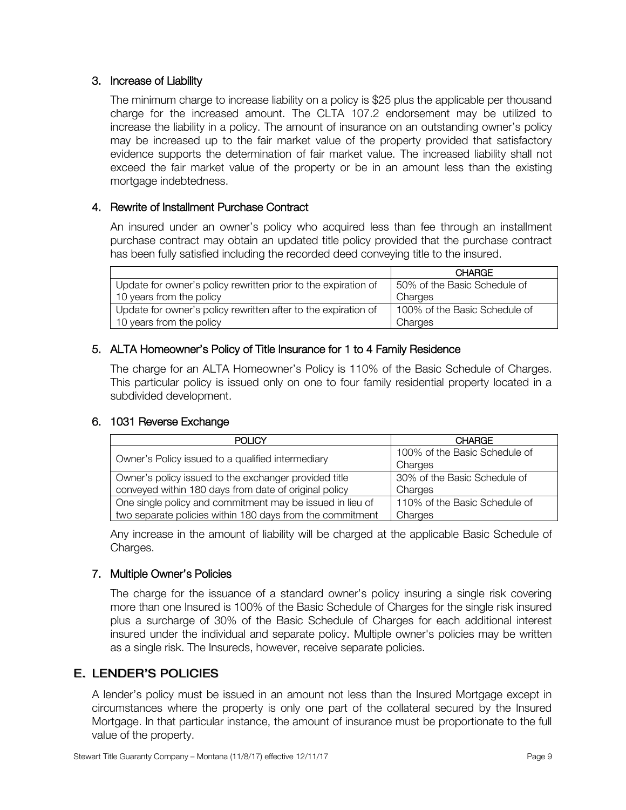#### <span id="page-8-0"></span>3. Increase of Liability

The minimum charge to increase liability on a policy is \$25 plus the applicable per thousand charge for the increased amount. The CLTA 107.2 endorsement may be utilized to increase the liability in a policy. The amount of insurance on an outstanding owner's policy may be increased up to the fair market value of the property provided that satisfactory evidence supports the determination of fair market value. The increased liability shall not exceed the fair market value of the property or be in an amount less than the existing mortgage indebtedness.

#### <span id="page-8-1"></span>4. Rewrite of Installment Purchase Contract

An insured under an owner's policy who acquired less than fee through an installment purchase contract may obtain an updated title policy provided that the purchase contract has been fully satisfied including the recorded deed conveying title to the insured.

|                                                                | <b>CHARGE</b>                 |
|----------------------------------------------------------------|-------------------------------|
| Update for owner's policy rewritten prior to the expiration of | 50% of the Basic Schedule of  |
| 10 years from the policy                                       | Charges                       |
| Update for owner's policy rewritten after to the expiration of | 100% of the Basic Schedule of |
| 10 years from the policy                                       | Charges                       |

#### <span id="page-8-2"></span>5. ALTA Homeowner's Policy of Title Insurance for 1 to 4 Family Residence

 The charge for an ALTA Homeowner's Policy is 110% of the Basic Schedule of Charges. This particular policy is issued only on one to four family residential property located in a subdivided development.

#### <span id="page-8-3"></span>6. 1031 Reverse Exchange

| <b>POLICY</b>                                             | <b>CHARGE</b>                 |
|-----------------------------------------------------------|-------------------------------|
| Owner's Policy issued to a qualified intermediary         | 100% of the Basic Schedule of |
|                                                           | Charges                       |
| Owner's policy issued to the exchanger provided title     | 30% of the Basic Schedule of  |
| conveyed within 180 days from date of original policy     | Charges                       |
| One single policy and commitment may be issued in lieu of | 110% of the Basic Schedule of |
| two separate policies within 180 days from the commitment | Charges                       |

 Any increase in the amount of liability will be charged at the applicable Basic Schedule of Charges.

#### <span id="page-8-4"></span>7. Multiple Owner's Policies

 The charge for the issuance of a standard owner's policy insuring a single risk covering more than one Insured is 100% of the Basic Schedule of Charges for the single risk insured plus a surcharge of 30% of the Basic Schedule of Charges for each additional interest insured under the individual and separate policy. Multiple owner's policies may be written as a single risk. The Insureds, however, receive separate policies.

#### **E. LENDER'S POLICIES**

A lender's policy must be issued in an amount not less than the Insured Mortgage except in circumstances where the property is only one part of the collateral secured by the Insured Mortgage. In that particular instance, the amount of insurance must be proportionate to the full value of the property.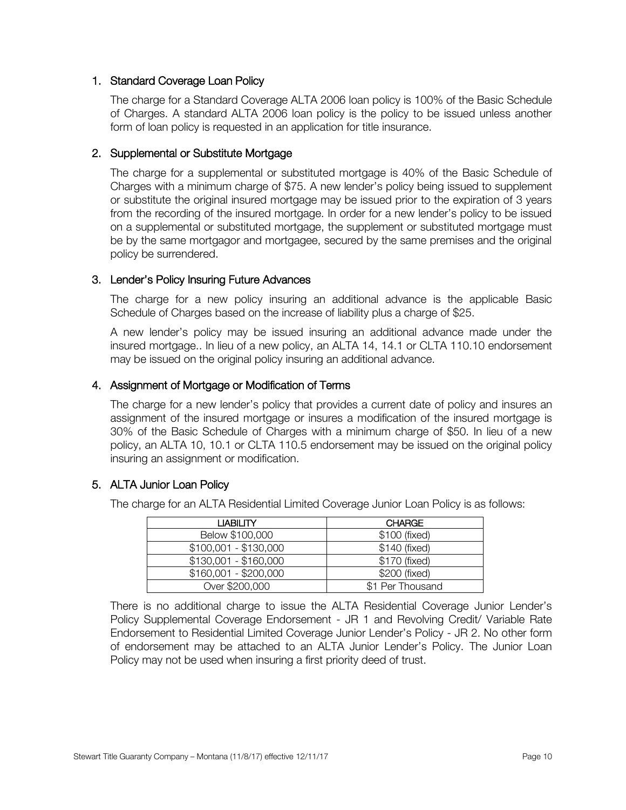#### <span id="page-9-0"></span>1. Standard Coverage Loan Policy

The charge for a Standard Coverage ALTA 2006 loan policy is 100% of the Basic Schedule of Charges. A standard ALTA 2006 loan policy is the policy to be issued unless another form of loan policy is requested in an application for title insurance.

#### <span id="page-9-1"></span>2. Supplemental or Substitute Mortgage

The charge for a supplemental or substituted mortgage is 40% of the Basic Schedule of Charges with a minimum charge of \$75. A new lender's policy being issued to supplement or substitute the original insured mortgage may be issued prior to the expiration of 3 years from the recording of the insured mortgage. In order for a new lender's policy to be issued on a supplemental or substituted mortgage, the supplement or substituted mortgage must be by the same mortgagor and mortgagee, secured by the same premises and the original policy be surrendered.

#### <span id="page-9-2"></span>3. Lender's Policy Insuring Future Advances

The charge for a new policy insuring an additional advance is the applicable Basic Schedule of Charges based on the increase of liability plus a charge of \$25.

A new lender's policy may be issued insuring an additional advance made under the insured mortgage.. In lieu of a new policy, an ALTA 14, 14.1 or CLTA 110.10 endorsement may be issued on the original policy insuring an additional advance.

#### <span id="page-9-3"></span>4. Assignment of Mortgage or Modification of Terms

The charge for a new lender's policy that provides a current date of policy and insures an assignment of the insured mortgage or insures a modification of the insured mortgage is 30% of the Basic Schedule of Charges with a minimum charge of \$50. In lieu of a new policy, an ALTA 10, 10.1 or CLTA 110.5 endorsement may be issued on the original policy insuring an assignment or modification.

#### <span id="page-9-4"></span>5. ALTA Junior Loan Policy

The charge for an ALTA Residential Limited Coverage Junior Loan Policy is as follows:

| <b>LIABILITY</b>      | <b>CHARGE</b>    |
|-----------------------|------------------|
| Below \$100,000       | \$100 (fixed)    |
| $$100,001 - $130,000$ | \$140 (fixed)    |
| $$130,001 - $160,000$ | \$170 (fixed)    |
| $$160,001 - $200,000$ | \$200 (fixed)    |
| Over \$200,000        | \$1 Per Thousand |

There is no additional charge to issue the ALTA Residential Coverage Junior Lender's Policy Supplemental Coverage Endorsement - JR 1 and Revolving Credit/ Variable Rate Endorsement to Residential Limited Coverage Junior Lender's Policy - JR 2. No other form of endorsement may be attached to an ALTA Junior Lender's Policy. The Junior Loan Policy may not be used when insuring a first priority deed of trust.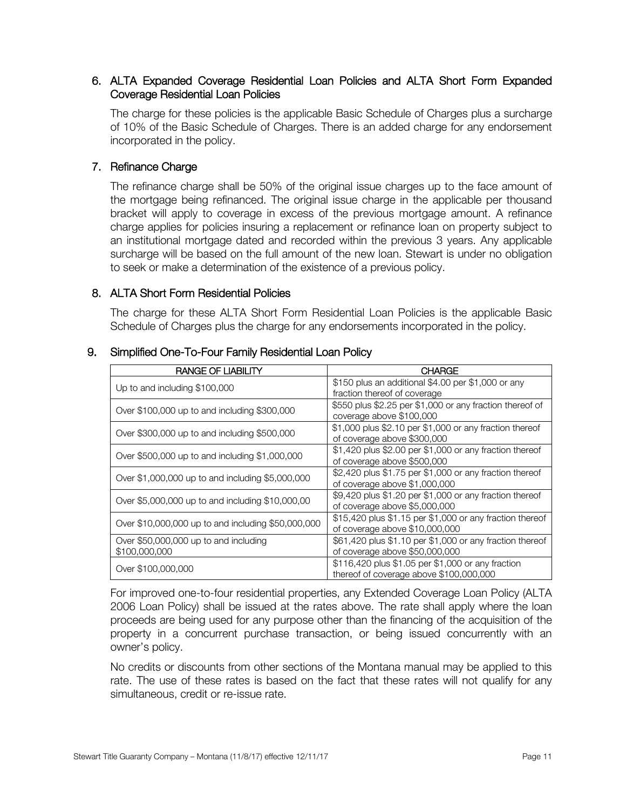#### <span id="page-10-0"></span> 6. ALTA Expanded Coverage Residential Loan Policies and ALTA Short Form Expanded Coverage Residential Loan Policies

 The charge for these policies is the applicable Basic Schedule of Charges plus a surcharge of 10% of the Basic Schedule of Charges. There is an added charge for any endorsement incorporated in the policy.

#### <span id="page-10-1"></span>7. Refinance Charge

The refinance charge shall be 50% of the original issue charges up to the face amount of the mortgage being refinanced. The original issue charge in the applicable per thousand bracket will apply to coverage in excess of the previous mortgage amount. A refinance charge applies for policies insuring a replacement or refinance loan on property subject to an institutional mortgage dated and recorded within the previous 3 years. Any applicable surcharge will be based on the full amount of the new loan. Stewart is under no obligation to seek or make a determination of the existence of a previous policy.

#### <span id="page-10-2"></span>8. ALTA Short Form Residential Policies

The charge for these ALTA Short Form Residential Loan Policies is the applicable Basic Schedule of Charges plus the charge for any endorsements incorporated in the policy.

| RANGE OF LIABILITY                                     | <b>CHARGE</b>                                                                                |
|--------------------------------------------------------|----------------------------------------------------------------------------------------------|
| Up to and including \$100,000                          | \$150 plus an additional \$4.00 per \$1,000 or any<br>fraction thereof of coverage           |
| Over \$100,000 up to and including \$300,000           | \$550 plus \$2.25 per \$1,000 or any fraction thereof of<br>coverage above \$100,000         |
| Over \$300,000 up to and including \$500,000           | \$1,000 plus \$2.10 per \$1,000 or any fraction thereof<br>of coverage above \$300,000       |
| Over \$500,000 up to and including \$1,000,000         | \$1,420 plus \$2.00 per \$1,000 or any fraction thereof<br>of coverage above \$500,000       |
| Over \$1,000,000 up to and including \$5,000,000       | \$2,420 plus \$1.75 per \$1,000 or any fraction thereof<br>of coverage above \$1,000,000     |
| Over \$5,000,000 up to and including \$10,000,00       | \$9,420 plus \$1.20 per \$1,000 or any fraction thereof<br>of coverage above \$5,000,000     |
| Over \$10,000,000 up to and including \$50,000,000     | \$15,420 plus \$1.15 per \$1,000 or any fraction thereof<br>of coverage above \$10,000,000   |
| Over \$50,000,000 up to and including<br>\$100,000,000 | \$61,420 plus \$1.10 per \$1,000 or any fraction thereof<br>of coverage above \$50,000,000   |
| Over \$100,000,000                                     | \$116,420 plus \$1.05 per \$1,000 or any fraction<br>thereof of coverage above \$100,000,000 |

#### <span id="page-10-3"></span>9. Simplified One-To-Four Family Residential Loan Policy

 For improved one-to-four residential properties, any Extended Coverage Loan Policy (ALTA 2006 Loan Policy) shall be issued at the rates above. The rate shall apply where the loan proceeds are being used for any purpose other than the financing of the acquisition of the property in a concurrent purchase transaction, or being issued concurrently with an owner's policy.

No credits or discounts from other sections of the Montana manual may be applied to this rate. The use of these rates is based on the fact that these rates will not qualify for any simultaneous, credit or re-issue rate.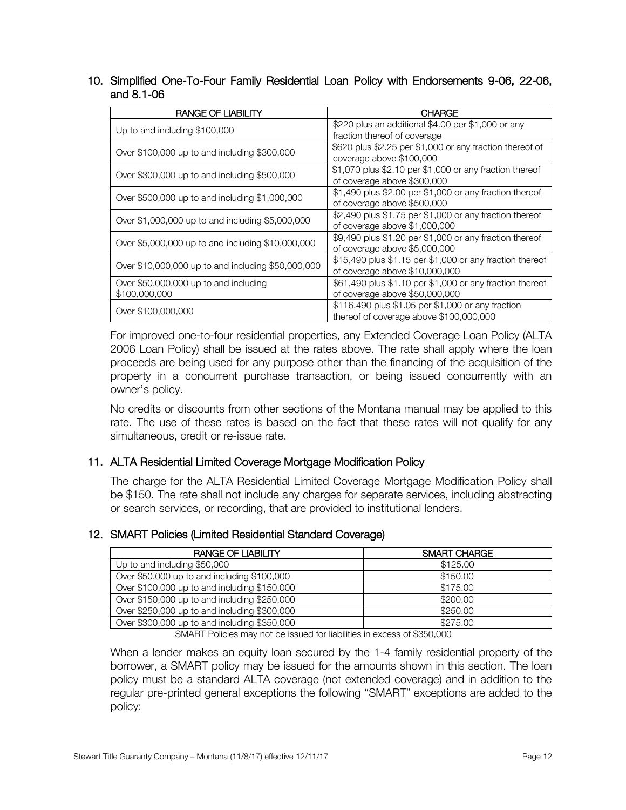<span id="page-11-0"></span> 10. Simplified One-To-Four Family Residential Loan Policy with Endorsements 9-06, 22-06, and 8.1-06

| <b>RANGE OF LIABILITY</b>                          | <b>CHARGE</b>                                            |  |
|----------------------------------------------------|----------------------------------------------------------|--|
| Up to and including \$100,000                      | \$220 plus an additional \$4.00 per \$1,000 or any       |  |
|                                                    | fraction thereof of coverage                             |  |
| Over \$100,000 up to and including \$300,000       | \$620 plus \$2.25 per \$1,000 or any fraction thereof of |  |
|                                                    | coverage above \$100,000                                 |  |
| Over \$300,000 up to and including \$500,000       | \$1,070 plus \$2.10 per \$1,000 or any fraction thereof  |  |
|                                                    | of coverage above \$300,000                              |  |
|                                                    | \$1,490 plus \$2.00 per \$1,000 or any fraction thereof  |  |
| Over \$500,000 up to and including \$1,000,000     | of coverage above \$500,000                              |  |
|                                                    | \$2,490 plus \$1.75 per \$1,000 or any fraction thereof  |  |
| Over \$1,000,000 up to and including \$5,000,000   | of coverage above \$1,000,000                            |  |
|                                                    | \$9,490 plus \$1.20 per \$1,000 or any fraction thereof  |  |
| Over \$5,000,000 up to and including \$10,000,000  | of coverage above \$5,000,000                            |  |
|                                                    | \$15,490 plus \$1.15 per \$1,000 or any fraction thereof |  |
| Over \$10,000,000 up to and including \$50,000,000 | of coverage above \$10,000,000                           |  |
| Over \$50,000,000 up to and including              | \$61,490 plus \$1.10 per \$1,000 or any fraction thereof |  |
| \$100,000,000                                      | of coverage above \$50,000,000                           |  |
|                                                    | \$116,490 plus \$1.05 per \$1,000 or any fraction        |  |
| Over \$100,000,000                                 | thereof of coverage above \$100,000,000                  |  |

 For improved one-to-four residential properties, any Extended Coverage Loan Policy (ALTA 2006 Loan Policy) shall be issued at the rates above. The rate shall apply where the loan proceeds are being used for any purpose other than the financing of the acquisition of the property in a concurrent purchase transaction, or being issued concurrently with an owner's policy.

No credits or discounts from other sections of the Montana manual may be applied to this rate. The use of these rates is based on the fact that these rates will not qualify for any simultaneous, credit or re-issue rate.

#### <span id="page-11-1"></span>11. ALTA Residential Limited Coverage Mortgage Modification Policy

The charge for the ALTA Residential Limited Coverage Mortgage Modification Policy shall be \$150. The rate shall not include any charges for separate services, including abstracting or search services, or recording, that are provided to institutional lenders.

#### <span id="page-11-2"></span>12. SMART Policies (Limited Residential Standard Coverage)

| <b>RANGE OF LIABILITY</b>                    | SMART CHARGE |
|----------------------------------------------|--------------|
| Up to and including \$50,000                 | \$125.00     |
| Over \$50,000 up to and including \$100,000  | \$150.00     |
| Over \$100,000 up to and including \$150,000 | \$175.00     |
| Over \$150,000 up to and including \$250,000 | \$200.00     |
| Over \$250,000 up to and including \$300,000 | \$250.00     |
| Over \$300,000 up to and including \$350,000 | \$275.00     |

SMART Policies may not be issued for liabilities in excess of \$350,000

When a lender makes an equity loan secured by the 1-4 family residential property of the borrower, a SMART policy may be issued for the amounts shown in this section. The loan policy must be a standard ALTA coverage (not extended coverage) and in addition to the regular pre-printed general exceptions the following "SMART" exceptions are added to the policy: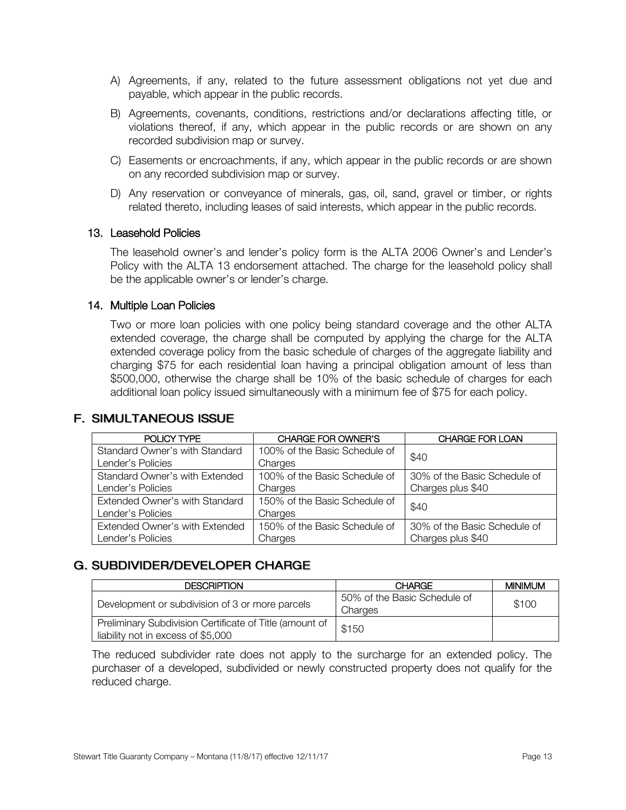- A) Agreements, if any, related to the future assessment obligations not yet due and payable, which appear in the public records.
- B) Agreements, covenants, conditions, restrictions and/or declarations affecting title, or violations thereof, if any, which appear in the public records or are shown on any recorded subdivision map or survey.
- C) Easements or encroachments, if any, which appear in the public records or are shown on any recorded subdivision map or survey.
- D) Any reservation or conveyance of minerals, gas, oil, sand, gravel or timber, or rights related thereto, including leases of said interests, which appear in the public records.

#### <span id="page-12-0"></span>13. Leasehold Policies

The leasehold owner's and lender's policy form is the ALTA 2006 Owner's and Lender's Policy with the ALTA 13 endorsement attached. The charge for the leasehold policy shall be the applicable owner's or lender's charge.

#### <span id="page-12-1"></span>14. Multiple Loan Policies

Two or more loan policies with one policy being standard coverage and the other ALTA extended coverage, the charge shall be computed by applying the charge for the ALTA extended coverage policy from the basic schedule of charges of the aggregate liability and charging \$75 for each residential loan having a principal obligation amount of less than \$500,000, otherwise the charge shall be 10% of the basic schedule of charges for each additional loan policy issued simultaneously with a minimum fee of \$75 for each policy.

#### **F. SIMULTANEOUS ISSUE**

| POLICY TYPE                    | CHARGE FOR OWNER'S            | <b>CHARGE FOR LOAN</b>       |
|--------------------------------|-------------------------------|------------------------------|
| Standard Owner's with Standard | 100% of the Basic Schedule of | \$40                         |
| Lender's Policies              | Charges                       |                              |
| Standard Owner's with Extended | 100% of the Basic Schedule of | 30% of the Basic Schedule of |
| Lender's Policies              | Charges                       | Charges plus \$40            |
| Extended Owner's with Standard | 150% of the Basic Schedule of | \$40                         |
| Lender's Policies              | Charges                       |                              |
| Extended Owner's with Extended | 150% of the Basic Schedule of | 30% of the Basic Schedule of |
| Lender's Policies              | Charges                       | Charges plus \$40            |

#### G. SUBDIVIDER/DEVELOPER CHARGE

| <b>DESCRIPTION</b>                                                                            | <b>CHARGE</b>                           | <b>MINIMUM</b> |
|-----------------------------------------------------------------------------------------------|-----------------------------------------|----------------|
| Development or subdivision of 3 or more parcels                                               | 50% of the Basic Schedule of<br>Charges | \$100          |
| Preliminary Subdivision Certificate of Title (amount of<br>liability not in excess of \$5,000 | \$150                                   |                |

The reduced subdivider rate does not apply to the surcharge for an extended policy. The purchaser of a developed, subdivided or newly constructed property does not qualify for the reduced charge.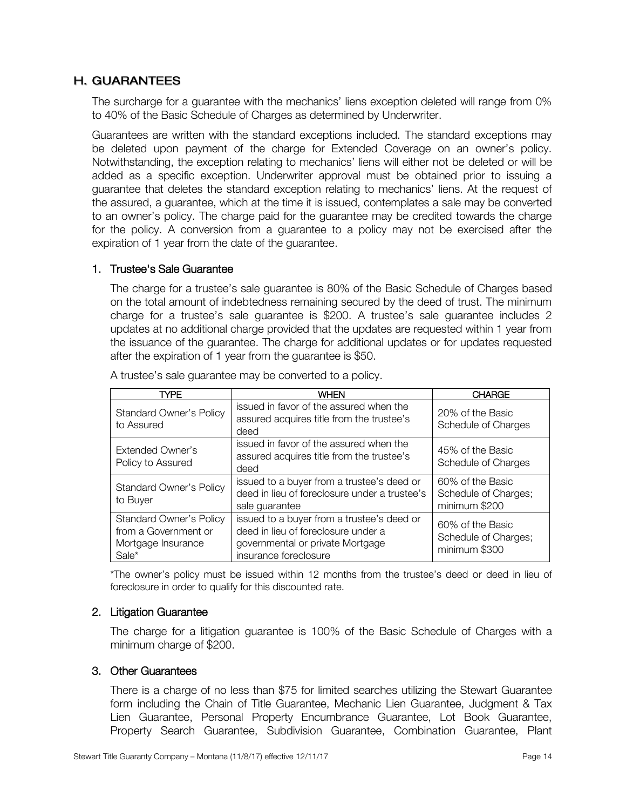#### **H. GUARANTEES**

 The surcharge for a guarantee with the mechanics' liens exception deleted will range from 0% to 40% of the Basic Schedule of Charges as determined by Underwriter.

Guarantees are written with the standard exceptions included. The standard exceptions may be deleted upon payment of the charge for Extended Coverage on an owner's policy. Notwithstanding, the exception relating to mechanics' liens will either not be deleted or will be added as a specific exception. Underwriter approval must be obtained prior to issuing a guarantee that deletes the standard exception relating to mechanics' liens. At the request of the assured, a guarantee, which at the time it is issued, contemplates a sale may be converted to an owner's policy. The charge paid for the guarantee may be credited towards the charge for the policy. A conversion from a guarantee to a policy may not be exercised after the expiration of 1 year from the date of the guarantee.

#### <span id="page-13-0"></span>1. Trustee's Sale Guarantee

The charge for a trustee's sale guarantee is 80% of the Basic Schedule of Charges based on the total amount of indebtedness remaining secured by the deed of trust. The minimum charge for a trustee's sale guarantee is \$200. A trustee's sale guarantee includes 2 updates at no additional charge provided that the updates are requested within 1 year from the issuance of the guarantee. The charge for additional updates or for updates requested after the expiration of 1 year from the guarantee is \$50.

| TYPE                                                                                  | <b>WHEN</b>                                                                                                                                    | <b>CHARGE</b>                                             |
|---------------------------------------------------------------------------------------|------------------------------------------------------------------------------------------------------------------------------------------------|-----------------------------------------------------------|
| <b>Standard Owner's Policy</b><br>to Assured                                          | issued in favor of the assured when the<br>assured acquires title from the trustee's<br>deed                                                   | 20% of the Basic<br>Schedule of Charges                   |
| <b>Extended Owner's</b><br>Policy to Assured                                          | issued in favor of the assured when the<br>assured acquires title from the trustee's<br>deed                                                   | 45% of the Basic<br>Schedule of Charges                   |
| <b>Standard Owner's Policy</b><br>to Buyer                                            | issued to a buyer from a trustee's deed or<br>deed in lieu of foreclosure under a trustee's<br>sale guarantee                                  | 60% of the Basic<br>Schedule of Charges;<br>minimum \$200 |
| <b>Standard Owner's Policy</b><br>from a Government or<br>Mortgage Insurance<br>Sale* | issued to a buyer from a trustee's deed or<br>deed in lieu of foreclosure under a<br>governmental or private Mortgage<br>insurance foreclosure | 60% of the Basic<br>Schedule of Charges;<br>minimum \$300 |

A trustee's sale guarantee may be converted to a policy.

\*The owner's policy must be issued within 12 months from the trustee's deed or deed in lieu of foreclosure in order to qualify for this discounted rate.

#### <span id="page-13-1"></span>2. Litigation Guarantee

The charge for a litigation guarantee is 100% of the Basic Schedule of Charges with a minimum charge of \$200.

#### <span id="page-13-2"></span>3. Other Guarantees

 There is a charge of no less than \$75 for limited searches utilizing the Stewart Guarantee form including the Chain of Title Guarantee, Mechanic Lien Guarantee, Judgment & Tax Lien Guarantee, Personal Property Encumbrance Guarantee, Lot Book Guarantee, Property Search Guarantee, Subdivision Guarantee, Combination Guarantee, Plant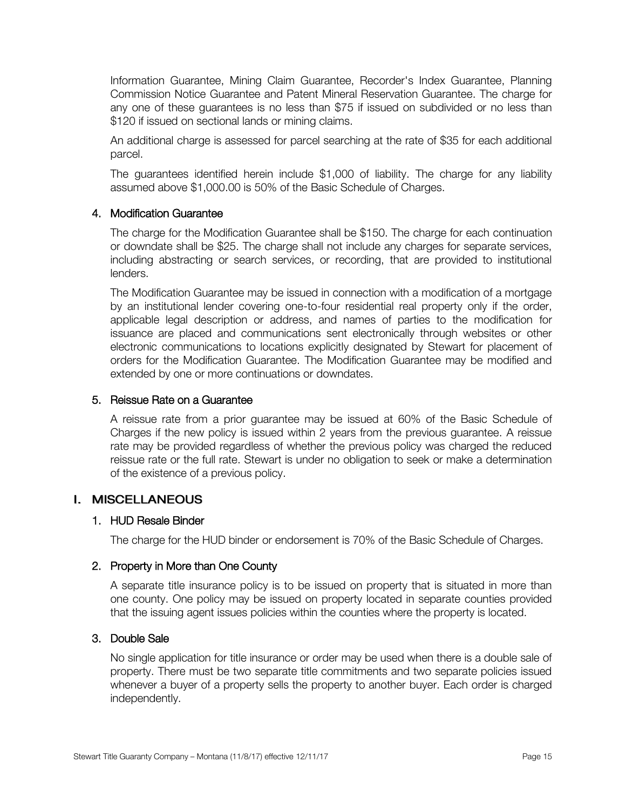Information Guarantee, Mining Claim Guarantee, Recorder's Index Guarantee, Planning Commission Notice Guarantee and Patent Mineral Reservation Guarantee. The charge for any one of these guarantees is no less than \$75 if issued on subdivided or no less than \$120 if issued on sectional lands or mining claims.

An additional charge is assessed for parcel searching at the rate of \$35 for each additional parcel.

The guarantees identified herein include \$1,000 of liability. The charge for any liability assumed above \$1,000.00 is 50% of the Basic Schedule of Charges.

#### <span id="page-14-0"></span>4. Modification Guarantee

 The charge for the Modification Guarantee shall be \$150. The charge for each continuation or downdate shall be \$25. The charge shall not include any charges for separate services, including abstracting or search services, or recording, that are provided to institutional lenders.

 The Modification Guarantee may be issued in connection with a modification of a mortgage by an institutional lender covering one-to-four residential real property only if the order, applicable legal description or address, and names of parties to the modification for issuance are placed and communications sent electronically through websites or other electronic communications to locations explicitly designated by Stewart for placement of orders for the Modification Guarantee. The Modification Guarantee may be modified and extended by one or more continuations or downdates.

#### <span id="page-14-1"></span>5. Reissue Rate on a Guarantee

A reissue rate from a prior guarantee may be issued at 60% of the Basic Schedule of Charges if the new policy is issued within 2 years from the previous guarantee. A reissue rate may be provided regardless of whether the previous policy was charged the reduced reissue rate or the full rate. Stewart is under no obligation to seek or make a determination of the existence of a previous policy.

#### I. MISCELLANEOUS

#### <span id="page-14-2"></span>1. HUD Resale Binder

The charge for the HUD binder or endorsement is 70% of the Basic Schedule of Charges.

#### <span id="page-14-3"></span>2. Property in More than One County

A separate title insurance policy is to be issued on property that is situated in more than one county. One policy may be issued on property located in separate counties provided that the issuing agent issues policies within the counties where the property is located.

#### <span id="page-14-4"></span>3. Double Sale

 No single application for title insurance or order may be used when there is a double sale of property. There must be two separate title commitments and two separate policies issued whenever a buyer of a property sells the property to another buyer. Each order is charged independently.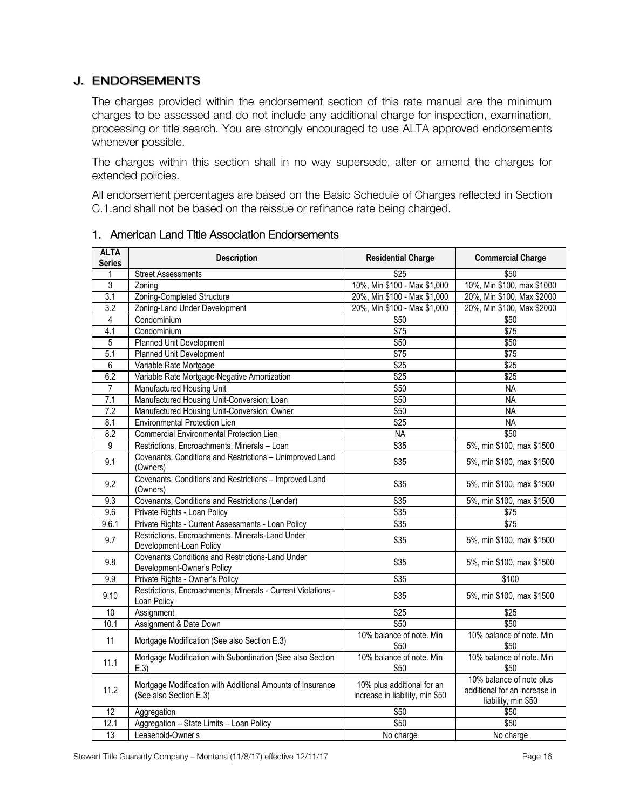#### **J. ENDORSEMENTS**

 The charges provided within the endorsement section of this rate manual are the minimum charges to be assessed and do not include any additional charge for inspection, examination, processing or title search. You are strongly encouraged to use ALTA approved endorsements whenever possible.

 The charges within this section shall in no way supersede, alter or amend the charges for extended policies.

 All endorsement percentages are based on the Basic Schedule of Charges reflected in Section C.1.and shall not be based on the reissue or refinance rate being charged.

| <b>ALTA</b><br><b>Series</b> | <b>Description</b>                                                                   | <b>Residential Charge</b>                                     | <b>Commercial Charge</b>                                                         |
|------------------------------|--------------------------------------------------------------------------------------|---------------------------------------------------------------|----------------------------------------------------------------------------------|
|                              | <b>Street Assessments</b>                                                            | \$25                                                          | \$50                                                                             |
| $\overline{3}$               | Zoning                                                                               | 10%, Min \$100 - Max \$1,000                                  | 10%, Min \$100, max \$1000                                                       |
| $\overline{3.1}$             | Zoning-Completed Structure                                                           | 20%, Min \$100 - Max \$1,000                                  | 20%, Min \$100, Max \$2000                                                       |
| $\overline{3.2}$             | Zoning-Land Under Development                                                        | 20%, Min \$100 - Max \$1,000                                  | 20%, Min \$100, Max \$2000                                                       |
| 4                            | Condominium                                                                          | \$50                                                          | \$50                                                                             |
| 4.1                          | Condominium                                                                          | $\overline{$75}$                                              | $\overline{$75}$                                                                 |
| 5                            | Planned Unit Development                                                             | \$50                                                          | \$50                                                                             |
| 5.1                          | Planned Unit Development                                                             | \$75                                                          | \$75                                                                             |
| 6                            | Variable Rate Mortgage                                                               | $\overline{$25}$                                              | $\overline{$25}$                                                                 |
| 6.2                          | Variable Rate Mortgage-Negative Amortization                                         | $\sqrt{$25}$                                                  | $\sqrt{$25}$                                                                     |
| $\overline{7}$               | Manufactured Housing Unit                                                            | \$50                                                          | <b>NA</b>                                                                        |
| 7.1                          | Manufactured Housing Unit-Conversion; Loan                                           | \$50                                                          | <b>NA</b>                                                                        |
| $\overline{7.2}$             | Manufactured Housing Unit-Conversion; Owner                                          | \$50                                                          | <b>NA</b>                                                                        |
| 8.1                          | <b>Environmental Protection Lien</b>                                                 | $\overline{$25}$                                              | <b>NA</b>                                                                        |
| 8.2                          | Commercial Environmental Protection Lien                                             | <b>NA</b>                                                     | \$50                                                                             |
| 9                            | Restrictions, Encroachments, Minerals - Loan                                         | \$35                                                          | 5%, min \$100, max \$1500                                                        |
| 9.1                          | Covenants, Conditions and Restrictions - Unimproved Land<br>(Owners)                 | \$35                                                          | 5%, min \$100, max \$1500                                                        |
| 9.2                          | Covenants, Conditions and Restrictions - Improved Land<br>(Owners)                   | \$35                                                          | 5%, min \$100, max \$1500                                                        |
| 9.3                          | Covenants, Conditions and Restrictions (Lender)                                      | \$35                                                          | 5%, min \$100, max \$1500                                                        |
| 9.6                          | Private Rights - Loan Policy                                                         | \$35                                                          | \$75                                                                             |
| 9.6.1                        | Private Rights - Current Assessments - Loan Policy                                   | \$35                                                          | $\sqrt{$75}$                                                                     |
| 9.7                          | Restrictions, Encroachments, Minerals-Land Under<br>Development-Loan Policy          | \$35                                                          | 5%, min \$100, max \$1500                                                        |
| 9.8                          | Covenants Conditions and Restrictions-Land Under<br>Development-Owner's Policy       | \$35                                                          | 5%, min \$100, max \$1500                                                        |
| 9.9                          | Private Rights - Owner's Policy                                                      | \$35                                                          | \$100                                                                            |
| 9.10                         | Restrictions, Encroachments, Minerals - Current Violations -<br>Loan Policy          | \$35                                                          | 5%, min \$100, max \$1500                                                        |
| 10                           | Assignment                                                                           | \$25                                                          | \$25                                                                             |
| 10.1                         | Assignment & Date Down                                                               | \$50                                                          | \$50                                                                             |
| 11                           | Mortgage Modification (See also Section E.3)                                         | 10% balance of note. Min<br>\$50                              | 10% balance of note. Min<br>\$50                                                 |
| 11.1                         | Mortgage Modification with Subordination (See also Section<br>E.3                    | 10% balance of note. Min<br>\$50                              | 10% balance of note. Min<br>\$50                                                 |
| 11.2                         | Mortgage Modification with Additional Amounts of Insurance<br>(See also Section E.3) | 10% plus additional for an<br>increase in liability, min \$50 | 10% balance of note plus<br>additional for an increase in<br>liability, min \$50 |
| $\overline{12}$              | Aggregation                                                                          | \$50                                                          | \$50                                                                             |
| 12.1                         | Aggregation - State Limits - Loan Policy                                             | \$50                                                          | \$50                                                                             |
| 13                           | Leasehold-Owner's                                                                    | No charge                                                     | No charge                                                                        |

#### <span id="page-15-0"></span>1. American Land Title Association Endorsements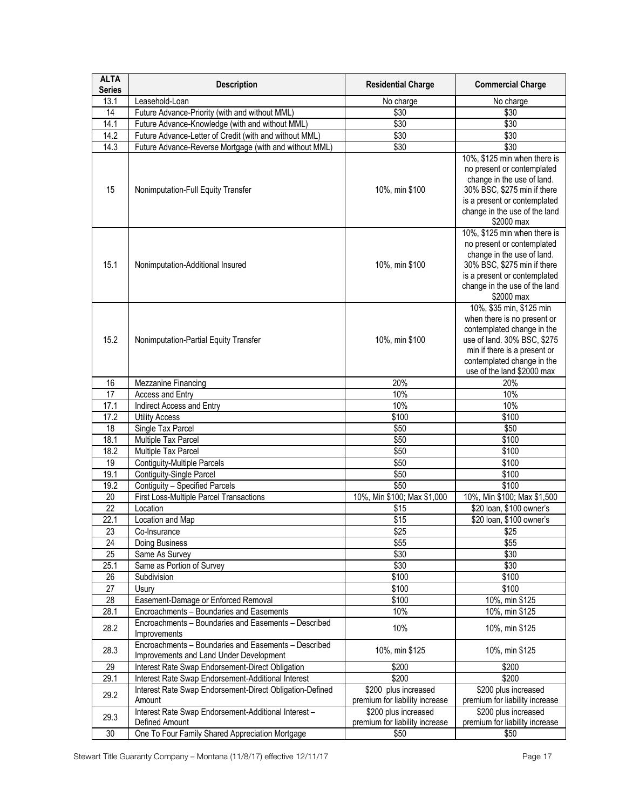| <b>ALTA</b><br><b>Series</b> | <b>Description</b>                                                                              | <b>Residential Charge</b>      | <b>Commercial Charge</b>                                                                                                                                                                                         |
|------------------------------|-------------------------------------------------------------------------------------------------|--------------------------------|------------------------------------------------------------------------------------------------------------------------------------------------------------------------------------------------------------------|
| 13.1                         | Leasehold-Loan                                                                                  | No charge                      | No charge                                                                                                                                                                                                        |
| 14                           | Future Advance-Priority (with and without MML)                                                  | \$30                           | \$30                                                                                                                                                                                                             |
| 14.1                         | Future Advance-Knowledge (with and without MML)                                                 | \$30                           | \$30                                                                                                                                                                                                             |
| 14.2                         | Future Advance-Letter of Credit (with and without MML)                                          | \$30                           | \$30                                                                                                                                                                                                             |
| 14.3                         | Future Advance-Reverse Mortgage (with and without MML)                                          | \$30                           | \$30                                                                                                                                                                                                             |
| 15                           | Nonimputation-Full Equity Transfer                                                              | 10%, min \$100                 | 10%, \$125 min when there is<br>no present or contemplated<br>change in the use of land.<br>30% BSC, \$275 min if there<br>is a present or contemplated<br>change in the use of the land<br>\$2000 max           |
| 15.1                         | Nonimputation-Additional Insured                                                                | 10%, min \$100                 | 10%, \$125 min when there is<br>no present or contemplated<br>change in the use of land.<br>30% BSC, \$275 min if there<br>is a present or contemplated<br>change in the use of the land<br>\$2000 max           |
| 15.2                         | Nonimputation-Partial Equity Transfer                                                           | 10%, min \$100                 | 10%, \$35 min, \$125 min<br>when there is no present or<br>contemplated change in the<br>use of land. 30% BSC, \$275<br>min if there is a present or<br>contemplated change in the<br>use of the land \$2000 max |
| 16                           | Mezzanine Financing                                                                             | 20%                            | 20%                                                                                                                                                                                                              |
| 17                           | Access and Entry                                                                                | 10%                            | 10%                                                                                                                                                                                                              |
| 17.1                         | Indirect Access and Entry                                                                       | 10%                            | 10%                                                                                                                                                                                                              |
| 17.2                         | <b>Utility Access</b>                                                                           | \$100                          | \$100                                                                                                                                                                                                            |
| $\overline{18}$              | Single Tax Parcel                                                                               | \$50                           | \$50                                                                                                                                                                                                             |
| 18.1                         | Multiple Tax Parcel                                                                             | \$50                           | \$100                                                                                                                                                                                                            |
| 18.2                         | Multiple Tax Parcel                                                                             | \$50                           | \$100                                                                                                                                                                                                            |
| 19                           | <b>Contiguity-Multiple Parcels</b>                                                              | \$50                           | \$100                                                                                                                                                                                                            |
| 19.1                         | Contiguity-Single Parcel                                                                        | \$50                           | \$100                                                                                                                                                                                                            |
| 19.2                         | Contiguity - Specified Parcels                                                                  | \$50                           | \$100                                                                                                                                                                                                            |
| 20                           | <b>First Loss-Multiple Parcel Transactions</b>                                                  | 10%, Min \$100; Max \$1,000    | 10%, Min \$100; Max \$1,500                                                                                                                                                                                      |
| $\overline{22}$              | Location                                                                                        | \$15                           | \$20 Ioan, \$100 owner's                                                                                                                                                                                         |
| 22.1                         | Location and Map                                                                                | \$15                           | \$20 loan, \$100 owner's                                                                                                                                                                                         |
| 23                           | Co-Insurance                                                                                    | $\overline{$25}$               | \$25                                                                                                                                                                                                             |
| 24                           | Doing Business                                                                                  | \$55                           | \$55                                                                                                                                                                                                             |
| $\overline{25}$              | Same As Survey                                                                                  | \$30                           | \$30                                                                                                                                                                                                             |
| 25.1                         | Same as Portion of Survey                                                                       | \$30                           | \$30                                                                                                                                                                                                             |
| 26                           | Subdivision                                                                                     | \$100                          | \$100                                                                                                                                                                                                            |
| 27                           | Usury                                                                                           | \$100                          | \$100                                                                                                                                                                                                            |
| 28                           | Easement-Damage or Enforced Removal                                                             | \$100                          | 10%, min \$125                                                                                                                                                                                                   |
| 28.1                         | Encroachments - Boundaries and Easements                                                        | 10%                            | 10%, min \$125                                                                                                                                                                                                   |
| 28.2                         | Encroachments - Boundaries and Easements - Described<br>Improvements                            | 10%                            | 10%, min \$125                                                                                                                                                                                                   |
| 28.3                         | Encroachments - Boundaries and Easements - Described<br>Improvements and Land Under Development | 10%, min \$125                 | 10%, min \$125                                                                                                                                                                                                   |
| 29                           | Interest Rate Swap Endorsement-Direct Obligation                                                | \$200                          | \$200                                                                                                                                                                                                            |
| 29.1                         | Interest Rate Swap Endorsement-Additional Interest                                              | \$200                          | \$200                                                                                                                                                                                                            |
| 29.2                         | Interest Rate Swap Endorsement-Direct Obligation-Defined                                        | \$200 plus increased           | \$200 plus increased                                                                                                                                                                                             |
|                              | Amount                                                                                          | premium for liability increase | premium for liability increase                                                                                                                                                                                   |
| 29.3                         | Interest Rate Swap Endorsement-Additional Interest -                                            | \$200 plus increased           | \$200 plus increased                                                                                                                                                                                             |
|                              | Defined Amount                                                                                  | premium for liability increase | premium for liability increase                                                                                                                                                                                   |
| 30                           | One To Four Family Shared Appreciation Mortgage                                                 | \$50                           | \$50                                                                                                                                                                                                             |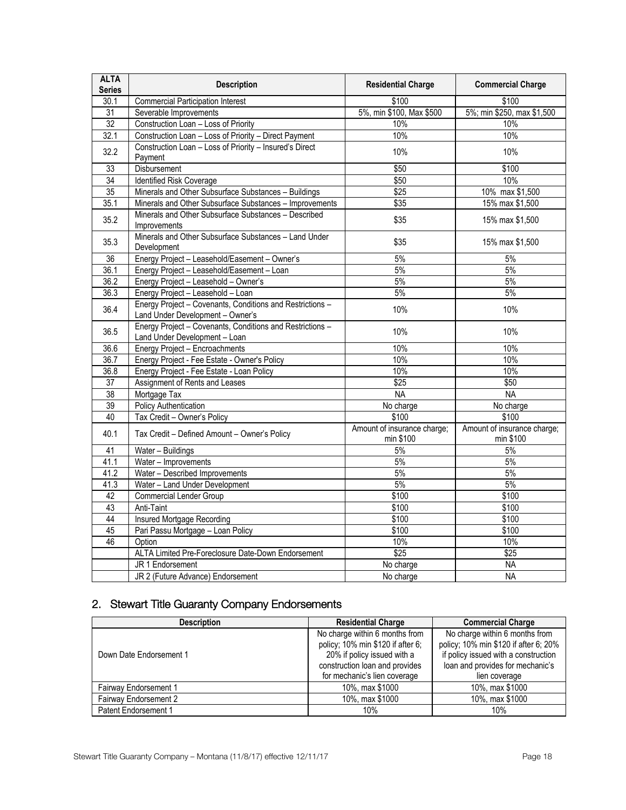| <b>ALTA</b><br><b>Series</b> | <b>Description</b>                                                                            | <b>Residential Charge</b>                | <b>Commercial Charge</b>                 |
|------------------------------|-----------------------------------------------------------------------------------------------|------------------------------------------|------------------------------------------|
| 30.1                         | <b>Commercial Participation Interest</b>                                                      | \$100                                    | \$100                                    |
| 31                           | Severable Improvements                                                                        | 5%, min \$100, Max \$500                 | 5%; min \$250, max \$1,500               |
| 32                           | Construction Loan - Loss of Priority                                                          | 10%                                      | 10%                                      |
| 32.1                         | Construction Loan - Loss of Priority - Direct Payment                                         | 10%                                      | 10%                                      |
| 32.2                         | Construction Loan - Loss of Priority - Insured's Direct<br>Payment                            | 10%                                      | 10%                                      |
| 33                           | <b>Disbursement</b>                                                                           | \$50                                     | \$100                                    |
| $\overline{34}$              | Identified Risk Coverage                                                                      | \$50                                     | 10%                                      |
| 35                           | Minerals and Other Subsurface Substances - Buildings                                          | \$25                                     | 10% max \$1,500                          |
| 35.1                         | Minerals and Other Subsurface Substances - Improvements                                       | \$35                                     | 15% max \$1,500                          |
| 35.2                         | Minerals and Other Subsurface Substances - Described<br>Improvements                          | \$35                                     | 15% max \$1,500                          |
| 35.3                         | Minerals and Other Subsurface Substances - Land Under<br>Development                          | \$35                                     | 15% max \$1,500                          |
| 36                           | Energy Project - Leasehold/Easement - Owner's                                                 | 5%                                       | 5%                                       |
| 36.1                         | Energy Project - Leasehold/Easement - Loan                                                    | 5%                                       | 5%                                       |
| 36.2                         | Energy Project - Leasehold - Owner's                                                          | 5%                                       | 5%                                       |
| 36.3                         | Energy Project - Leasehold - Loan                                                             | 5%                                       | $5\%$                                    |
| 36.4                         | Energy Project - Covenants, Conditions and Restrictions -<br>Land Under Development - Owner's | 10%                                      | 10%                                      |
| 36.5                         | Energy Project - Covenants, Conditions and Restrictions -<br>Land Under Development - Loan    | 10%                                      | 10%                                      |
| 36.6                         | Energy Project - Encroachments                                                                | 10%                                      | 10%                                      |
| 36.7                         | Energy Project - Fee Estate - Owner's Policy                                                  | 10%                                      | 10%                                      |
| 36.8                         | Energy Project - Fee Estate - Loan Policy                                                     | 10%                                      | 10%                                      |
| $\overline{37}$              | Assignment of Rents and Leases                                                                | \$25                                     | \$50                                     |
| 38                           | Mortgage Tax                                                                                  | <b>NA</b>                                | <b>NA</b>                                |
| 39                           | Policy Authentication                                                                         | No charge                                | No charge                                |
| 40                           | Tax Credit - Owner's Policy                                                                   | \$100                                    | \$100                                    |
| 40.1                         | Tax Credit - Defined Amount - Owner's Policy                                                  | Amount of insurance charge;<br>min \$100 | Amount of insurance charge;<br>min \$100 |
| 41                           | Water - Buildings                                                                             | 5%                                       | 5%                                       |
| 41.1                         | Water - Improvements                                                                          | 5%                                       | 5%                                       |
| 41.2                         | Water - Described Improvements                                                                | 5%                                       | 5%                                       |
| 41.3                         | Water - Land Under Development                                                                | 5%                                       | 5%                                       |
| 42                           | <b>Commercial Lender Group</b>                                                                | \$100                                    | \$100                                    |
| 43                           | Anti-Taint                                                                                    | \$100                                    | \$100                                    |
| 44                           | <b>Insured Mortgage Recording</b>                                                             | \$100                                    | \$100                                    |
| 45                           | Pari Passu Mortgage - Loan Policy                                                             | \$100                                    | \$100                                    |
| 46                           | Option                                                                                        | 10%                                      | 10%                                      |
|                              | ALTA Limited Pre-Foreclosure Date-Down Endorsement                                            | \$25                                     | \$25                                     |
|                              | JR 1 Endorsement                                                                              | No charge                                | <b>NA</b>                                |
|                              | JR 2 (Future Advance) Endorsement                                                             | No charge                                | <b>NA</b>                                |

### <span id="page-17-0"></span>2. Stewart Title Guaranty Company Endorsements

| <b>Description</b>           | <b>Residential Charge</b>         | <b>Commercial Charge</b>              |
|------------------------------|-----------------------------------|---------------------------------------|
|                              | No charge within 6 months from    | No charge within 6 months from        |
|                              | policy; 10% min \$120 if after 6; | policy; 10% min \$120 if after 6; 20% |
| Down Date Endorsement 1      | 20% if policy issued with a       | if policy issued with a construction  |
|                              | construction loan and provides    | loan and provides for mechanic's      |
|                              | for mechanic's lien coverage      | lien coverage                         |
| Fairway Endorsement 1        | 10%, max \$1000                   | 10%, max \$1000                       |
| <b>Fairway Endorsement 2</b> | 10%, max \$1000                   | 10%, max \$1000                       |
| Patent Endorsement 1         | 10%                               | 10%                                   |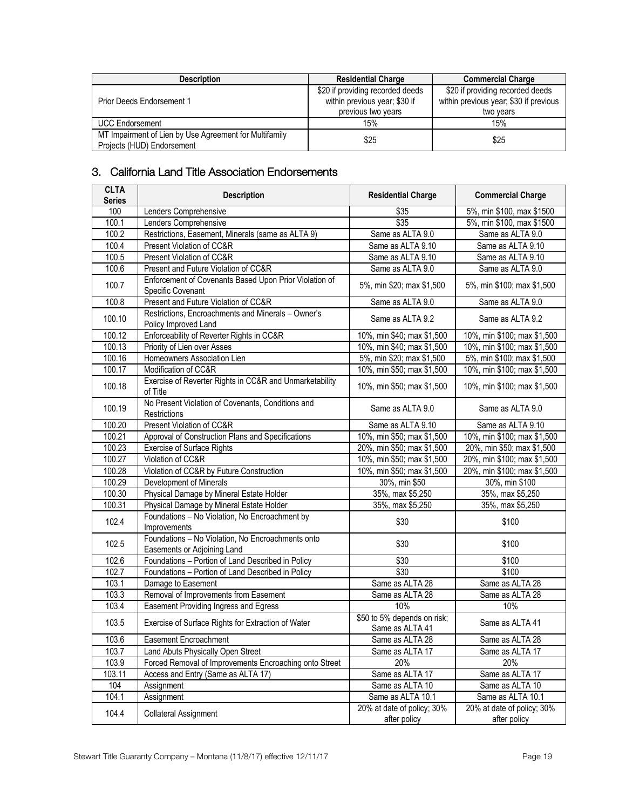| <b>Description</b>                                                                   | <b>Residential Charge</b>                                                               | <b>Commercial Charge</b>                                                                |
|--------------------------------------------------------------------------------------|-----------------------------------------------------------------------------------------|-----------------------------------------------------------------------------------------|
| Prior Deeds Endorsement 1                                                            | \$20 if providing recorded deeds<br>within previous year; \$30 if<br>previous two years | \$20 if providing recorded deeds<br>within previous year; \$30 if previous<br>two vears |
| <b>UCC Endorsement</b>                                                               | 15%                                                                                     | 15%                                                                                     |
| MT Impairment of Lien by Use Agreement for Multifamily<br>Projects (HUD) Endorsement | \$25                                                                                    | \$25                                                                                    |

### <span id="page-18-0"></span>3. California Land Title Association Endorsements

| <b>CLTA</b><br><b>Series</b> | <b>Description</b>                                                               | <b>Residential Charge</b>                      | <b>Commercial Charge</b>                   |
|------------------------------|----------------------------------------------------------------------------------|------------------------------------------------|--------------------------------------------|
| 100                          | Lenders Comprehensive                                                            | \$35                                           | 5%, min \$100, max \$1500                  |
| 100.1                        | Lenders Comprehensive                                                            | \$35                                           | 5%, min \$100, max \$1500                  |
| 100.2                        | Restrictions, Easement, Minerals (same as ALTA 9)                                | Same as ALTA 9.0                               | Same as ALTA 9.0                           |
| $\overline{100.4}$           | Present Violation of CC&R                                                        | Same as ALTA 9.10                              | Same as ALTA 9.10                          |
| 100.5                        | Present Violation of CC&R                                                        | Same as ALTA 9.10                              | Same as ALTA 9.10                          |
| 100.6                        | Present and Future Violation of CC&R                                             | Same as ALTA 9.0                               | Same as ALTA 9.0                           |
| 100.7                        | Enforcement of Covenants Based Upon Prior Violation of<br>Specific Covenant      | 5%, min \$20; max \$1,500                      | 5%, min \$100; max \$1,500                 |
| 100.8                        | Present and Future Violation of CC&R                                             | Same as ALTA 9.0                               | Same as ALTA 9.0                           |
| 100.10                       | Restrictions, Encroachments and Minerals - Owner's<br>Policy Improved Land       | Same as ALTA 9.2                               | Same as ALTA 9.2                           |
| 100.12                       | Enforceability of Reverter Rights in CC&R                                        | 10%, min \$40; max \$1,500                     | 10%, min \$100; max \$1,500                |
| 100.13                       | Priority of Lien over Asses                                                      | 10%, min \$40; max \$1,500                     | 10%, min \$100; max \$1,500                |
| 100.16                       | Homeowners Association Lien                                                      | 5%, min \$20; max \$1,500                      | 5%, min \$100; max \$1,500                 |
| 100.17                       | Modification of CC&R                                                             | 10%, min \$50; max \$1,500                     | 10%, min \$100; max \$1,500                |
| 100.18                       | Exercise of Reverter Rights in CC&R and Unmarketability<br>of Title              | 10%, min \$50; max \$1,500                     | 10%, min \$100; max \$1,500                |
| 100.19                       | No Present Violation of Covenants, Conditions and<br>Restrictions                | Same as ALTA 9.0                               | Same as ALTA 9.0                           |
| 100.20                       | Present Violation of CC&R                                                        | Same as ALTA 9.10                              | Same as ALTA 9.10                          |
| 100.21                       | Approval of Construction Plans and Specifications                                | 10%, min \$50; max \$1,500                     | 10%, min \$100; max \$1,500                |
| 100.23                       | <b>Exercise of Surface Rights</b>                                                | 20%, min \$50; max \$1,500                     | 20%, min \$50; max \$1,500                 |
| 100.27                       | Violation of CC&R                                                                | 10%, min \$50; max \$1,500                     | 20%, min \$100; max \$1,500                |
| 100.28                       | Violation of CC&R by Future Construction                                         | 10%, min \$50; max \$1,500                     | 20%, min \$100; max \$1,500                |
| 100.29                       | Development of Minerals                                                          | 30%, min \$50                                  | 30%, min \$100                             |
| 100.30                       | Physical Damage by Mineral Estate Holder                                         | 35%, max \$5,250                               | 35%, max \$5,250                           |
| 100.31                       | Physical Damage by Mineral Estate Holder                                         | 35%, max \$5,250                               | 35%, max \$5,250                           |
| 102.4                        | Foundations - No Violation, No Encroachment by<br>Improvements                   | \$30                                           | \$100                                      |
| 102.5                        | Foundations - No Violation, No Encroachments onto<br>Easements or Adjoining Land | \$30                                           | \$100                                      |
| 102.6                        | Foundations - Portion of Land Described in Policy                                | \$30                                           | \$100                                      |
| 102.7                        | Foundations - Portion of Land Described in Policy                                | \$30                                           | \$100                                      |
| 103.1                        | Damage to Easement                                                               | Same as ALTA 28                                | Same as ALTA 28                            |
| 103.3                        | Removal of Improvements from Easement                                            | Same as ALTA 28                                | Same as ALTA 28                            |
| 103.4                        | Easement Providing Ingress and Egress                                            | 10%                                            | 10%                                        |
| 103.5                        | Exercise of Surface Rights for Extraction of Water                               | \$50 to 5% depends on risk;<br>Same as ALTA 41 | Same as ALTA 41                            |
| 103.6                        | Easement Encroachment                                                            | Same as ALTA 28                                | Same as ALTA 28                            |
| 103.7                        | Land Abuts Physically Open Street                                                | Same as ALTA 17                                | Same as ALTA 17                            |
| 103.9                        | Forced Removal of Improvements Encroaching onto Street                           | 20%                                            | 20%                                        |
| 103.11                       | Access and Entry (Same as ALTA 17)                                               | Same as ALTA 17                                | Same as ALTA 17                            |
| 104                          | Assignment                                                                       | Same as ALTA 10                                | Same as ALTA 10                            |
| 104.1                        | Assignment                                                                       | Same as ALTA 10.1                              | Same as ALTA 10.1                          |
| 104.4                        | <b>Collateral Assignment</b>                                                     | 20% at date of policy; 30%<br>after policy     | 20% at date of policy; 30%<br>after policy |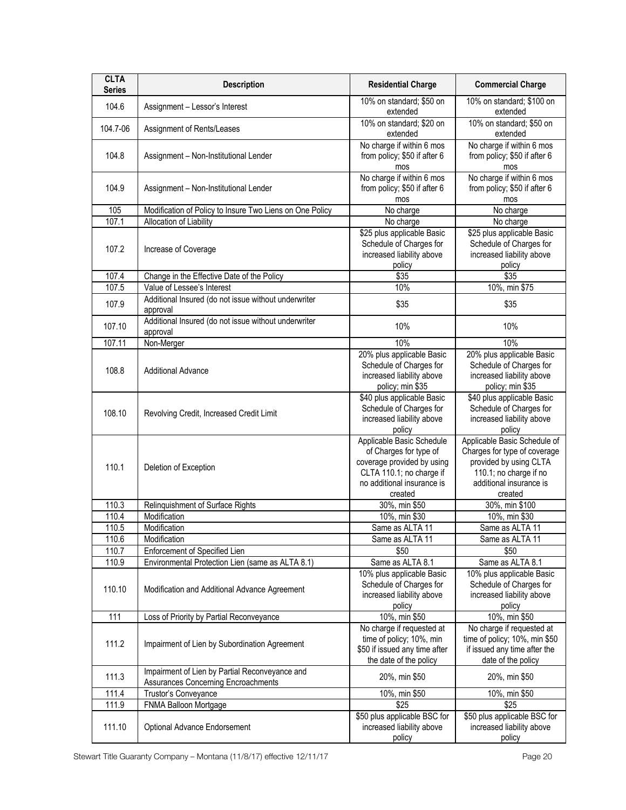| <b>CLTA</b><br><b>Series</b> | <b>Description</b>                                                                    | <b>Residential Charge</b>                                                                                                                              | <b>Commercial Charge</b>                                                                                                                               |
|------------------------------|---------------------------------------------------------------------------------------|--------------------------------------------------------------------------------------------------------------------------------------------------------|--------------------------------------------------------------------------------------------------------------------------------------------------------|
| 104.6                        | Assignment - Lessor's Interest                                                        | 10% on standard; \$50 on<br>extended                                                                                                                   | 10% on standard; \$100 on<br>extended                                                                                                                  |
| 104.7-06                     | Assignment of Rents/Leases                                                            | 10% on standard; \$20 on<br>extended                                                                                                                   | 10% on standard; \$50 on<br>extended                                                                                                                   |
| 104.8                        | Assignment - Non-Institutional Lender                                                 | No charge if within 6 mos<br>from policy; \$50 if after 6<br>mos                                                                                       | No charge if within 6 mos<br>from policy; \$50 if after 6<br>mos                                                                                       |
| 104.9                        | Assignment - Non-Institutional Lender                                                 | No charge if within 6 mos<br>from policy; \$50 if after 6<br>mos                                                                                       | No charge if within 6 mos<br>from policy; \$50 if after 6<br>mos                                                                                       |
| 105                          | Modification of Policy to Insure Two Liens on One Policy                              | No charge                                                                                                                                              | No charge                                                                                                                                              |
| 107.1                        | Allocation of Liability                                                               | No charge                                                                                                                                              | No charge                                                                                                                                              |
| 107.2                        | Increase of Coverage                                                                  | \$25 plus applicable Basic<br>Schedule of Charges for<br>increased liability above<br>policy                                                           | \$25 plus applicable Basic<br>Schedule of Charges for<br>increased liability above<br>policy                                                           |
| 107.4                        | Change in the Effective Date of the Policy                                            | \$35                                                                                                                                                   | \$35                                                                                                                                                   |
| 107.5                        | Value of Lessee's Interest                                                            | 10%                                                                                                                                                    | 10%, min \$75                                                                                                                                          |
| 107.9                        | Additional Insured (do not issue without underwriter<br>approval                      | \$35                                                                                                                                                   | \$35                                                                                                                                                   |
| 107.10                       | Additional Insured (do not issue without underwriter<br>approval                      | 10%                                                                                                                                                    | 10%                                                                                                                                                    |
| 107.11                       | Non-Merger                                                                            | 10%                                                                                                                                                    | 10%                                                                                                                                                    |
| 108.8                        | <b>Additional Advance</b>                                                             | 20% plus applicable Basic<br>Schedule of Charges for<br>increased liability above<br>policy; min \$35                                                  | 20% plus applicable Basic<br>Schedule of Charges for<br>increased liability above<br>policy; min \$35                                                  |
| 108.10                       | Revolving Credit, Increased Credit Limit                                              | \$40 plus applicable Basic<br>Schedule of Charges for<br>increased liability above<br>policy                                                           | \$40 plus applicable Basic<br>Schedule of Charges for<br>increased liability above<br>policy                                                           |
| 110.1                        | Deletion of Exception                                                                 | Applicable Basic Schedule<br>of Charges for type of<br>coverage provided by using<br>CLTA 110.1; no charge if<br>no additional insurance is<br>created | Applicable Basic Schedule of<br>Charges for type of coverage<br>provided by using CLTA<br>110.1; no charge if no<br>additional insurance is<br>created |
| 110.3                        | Relinquishment of Surface Rights                                                      | 30%, min \$50                                                                                                                                          | 30%, min \$100                                                                                                                                         |
| 110.4                        | Modification                                                                          | 10%, min \$30                                                                                                                                          | 10%, min \$30                                                                                                                                          |
| 110.5                        | Modification                                                                          | Same as ALTA 11                                                                                                                                        | Same as ALTA 11                                                                                                                                        |
| 110.6                        | Modification                                                                          | Same as ALTA 11                                                                                                                                        | Same as ALTA 11                                                                                                                                        |
| 110.7                        | Enforcement of Specified Lien                                                         | \$50                                                                                                                                                   | \$50                                                                                                                                                   |
| 110.9                        | Environmental Protection Lien (same as ALTA 8.1)                                      | Same as ALTA 8.1                                                                                                                                       | Same as ALTA 8.1                                                                                                                                       |
| 110.10                       | Modification and Additional Advance Agreement                                         | 10% plus applicable Basic<br>Schedule of Charges for<br>increased liability above<br>policy                                                            | 10% plus applicable Basic<br>Schedule of Charges for<br>increased liability above<br>policy                                                            |
| 111                          | Loss of Priority by Partial Reconveyance                                              | 10%, min \$50                                                                                                                                          | 10%, min \$50                                                                                                                                          |
| 111.2                        | Impairment of Lien by Subordination Agreement                                         | No charge if requested at<br>time of policy; 10%, min<br>\$50 if issued any time after<br>the date of the policy                                       | No charge if requested at<br>time of policy; 10%, min \$50<br>if issued any time after the<br>date of the policy                                       |
| 111.3                        | Impairment of Lien by Partial Reconveyance and<br>Assurances Concerning Encroachments | 20%, min \$50                                                                                                                                          | 20%, min \$50                                                                                                                                          |
| 111.4                        | Trustor's Conveyance                                                                  | 10%, min \$50                                                                                                                                          | 10%, min \$50                                                                                                                                          |
| 111.9                        | FNMA Balloon Mortgage                                                                 | $\sqrt{$25}$                                                                                                                                           | $\sqrt{$25}$                                                                                                                                           |
| 111.10                       | Optional Advance Endorsement                                                          | \$50 plus applicable BSC for<br>increased liability above<br>policy                                                                                    | \$50 plus applicable BSC for<br>increased liability above<br>policy                                                                                    |

Stewart Title Guaranty Company - Montana (11/8/17) effective 12/11/17 etc. etc. etc. etc. Page 20